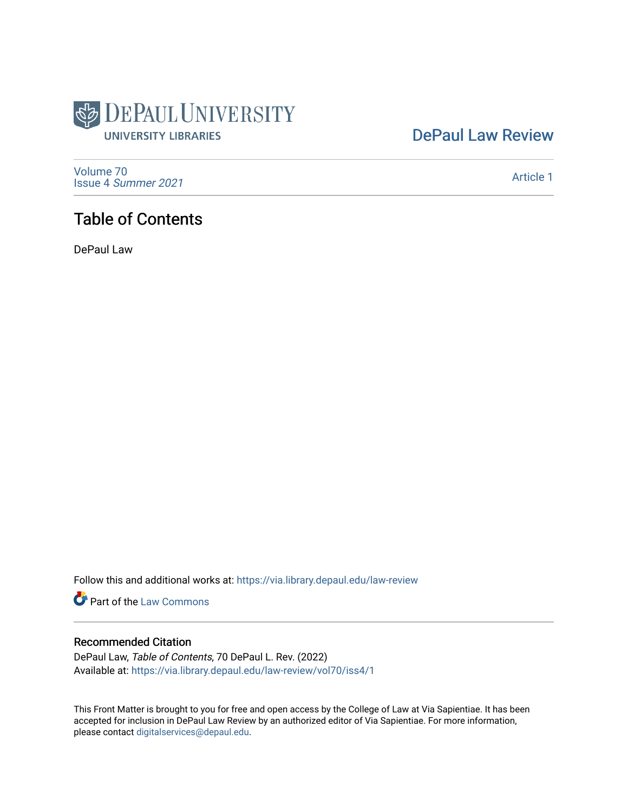

## [DePaul Law Review](https://via.library.depaul.edu/law-review)

[Volume 70](https://via.library.depaul.edu/law-review/vol70) Issue 4 [Summer 2021](https://via.library.depaul.edu/law-review/vol70/iss4) 

[Article 1](https://via.library.depaul.edu/law-review/vol70/iss4/1) 

# Table of Contents

DePaul Law

Follow this and additional works at: [https://via.library.depaul.edu/law-review](https://via.library.depaul.edu/law-review?utm_source=via.library.depaul.edu%2Flaw-review%2Fvol70%2Fiss4%2F1&utm_medium=PDF&utm_campaign=PDFCoverPages) 

Part of the [Law Commons](http://network.bepress.com/hgg/discipline/578?utm_source=via.library.depaul.edu%2Flaw-review%2Fvol70%2Fiss4%2F1&utm_medium=PDF&utm_campaign=PDFCoverPages)

## Recommended Citation

DePaul Law, Table of Contents, 70 DePaul L. Rev. (2022) Available at: [https://via.library.depaul.edu/law-review/vol70/iss4/1](https://via.library.depaul.edu/law-review/vol70/iss4/1?utm_source=via.library.depaul.edu%2Flaw-review%2Fvol70%2Fiss4%2F1&utm_medium=PDF&utm_campaign=PDFCoverPages) 

This Front Matter is brought to you for free and open access by the College of Law at Via Sapientiae. It has been accepted for inclusion in DePaul Law Review by an authorized editor of Via Sapientiae. For more information, please contact [digitalservices@depaul.edu.](mailto:digitalservices@depaul.edu)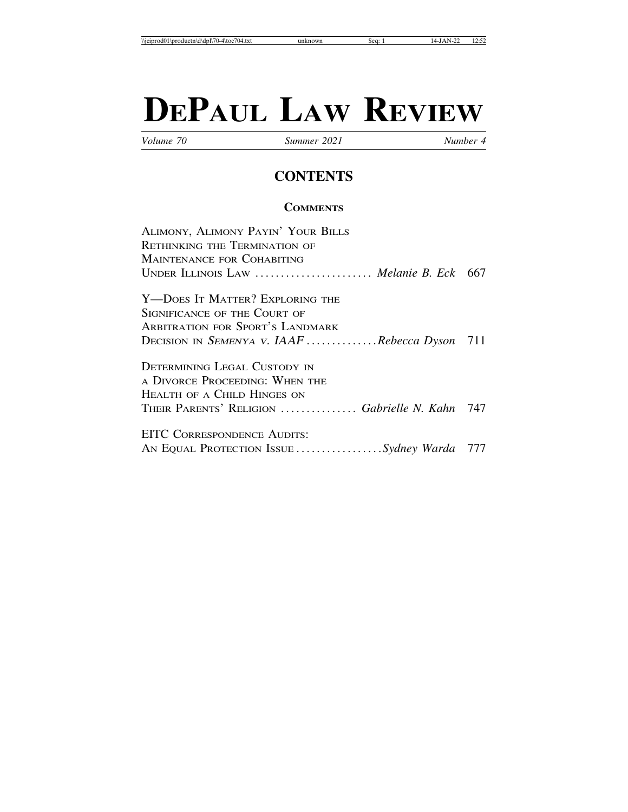# **DEPAUL LAW REVIEW**

*Volume 70 Summer 2021 Number 4*

## **CONTENTS**

## **COMMENTS**

| ALIMONY, ALIMONY PAYIN' YOUR BILLS             |  |
|------------------------------------------------|--|
| RETHINKING THE TERMINATION OF                  |  |
| <b>MAINTENANCE FOR COHABITING</b>              |  |
| UNDER ILLINOIS LAW  Melanie B. Eck 667         |  |
| Y—DOES IT MATTER? EXPLORING THE                |  |
| SIGNIFICANCE OF THE COURT OF                   |  |
| <b>ARBITRATION FOR SPORT'S LANDMARK</b>        |  |
| DECISION IN SEMENYA V. IAAF Rebecca Dyson 711  |  |
| DETERMINING LEGAL CUSTODY IN                   |  |
| A DIVORCE PROCEEDING: WHEN THE                 |  |
| HEALTH OF A CHILD HINGES ON                    |  |
| THEIR PARENTS' RELIGION  Gabrielle N. Kahn 747 |  |
| <b>EITC CORRESPONDENCE AUDITS:</b>             |  |
| AN EQUAL PROTECTION ISSUE Sydney Warda 777     |  |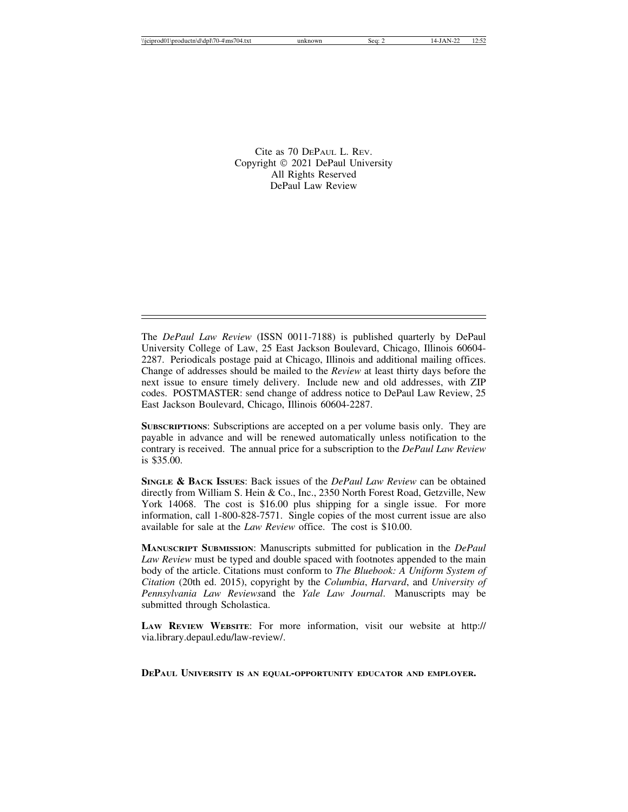Cite as 70 DEPAUL L. REV. Copyright © 2021 DePaul University All Rights Reserved DePaul Law Review

The *DePaul Law Review* (ISSN 0011-7188) is published quarterly by DePaul University College of Law, 25 East Jackson Boulevard, Chicago, Illinois 60604- 2287. Periodicals postage paid at Chicago, Illinois and additional mailing offices. Change of addresses should be mailed to the *Review* at least thirty days before the next issue to ensure timely delivery. Include new and old addresses, with ZIP codes. POSTMASTER: send change of address notice to DePaul Law Review, 25 East Jackson Boulevard, Chicago, Illinois 60604-2287.

**SUBSCRIPTIONS**: Subscriptions are accepted on a per volume basis only. They are payable in advance and will be renewed automatically unless notification to the contrary is received. The annual price for a subscription to the *DePaul Law Review* is \$35.00.

**SINGLE & BACK ISSUES**: Back issues of the *DePaul Law Review* can be obtained directly from William S. Hein & Co., Inc., 2350 North Forest Road, Getzville, New York 14068. The cost is \$16.00 plus shipping for a single issue. For more information, call 1-800-828-7571. Single copies of the most current issue are also available for sale at the *Law Review* office. The cost is \$10.00.

**MANUSCRIPT SUBMISSION**: Manuscripts submitted for publication in the *DePaul Law Review* must be typed and double spaced with footnotes appended to the main body of the article. Citations must conform to *The Bluebook: A Uniform System of Citation* (20th ed. 2015), copyright by the *Columbia*, *Harvard*, and *University of Pennsylvania Law Reviews*and the *Yale Law Journal*. Manuscripts may be submitted through Scholastica.

**LAW REVIEW WEBSITE**: For more information, visit our website at http:// via.library.depaul.edu/law-review/.

**DEPAUL UNIVERSITY IS AN EQUAL-OPPORTUNITY EDUCATOR AND EMPLOYER.**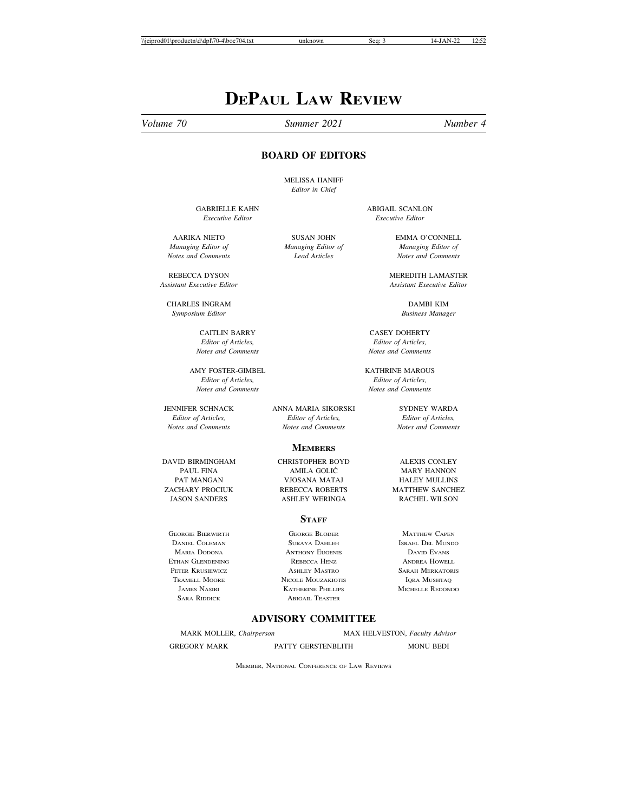# **DEPAUL LAW REVIEW**

*Volume 70 Summer 2021 Number 4*

#### **BOARD OF EDITORS**

MELISSA HANIFF *Editor in Chief*

*Managing Editor of Managing Editor of Managing Editor of*

GABRIELLE KAHN ABIGAIL SCANLON *Executive Editor Executive Editor*

AARIKA NIETO SUSAN JOHN EMMA O'CONNELL<br> *Managing Editor of Managing Editor of Managing Editor of Managing Editor of* 

CHARLES INGRAM DAMBI KIM *Symposium Editor Business Manager*

> CAITLIN BARRY CASEY DOHERTY *Editor of Articles, Editor of Articles, Notes and Comments Notes and Comments*

AMY FOSTER-GIMBEL KATHRINE MAROUS *Editor of Articles, Editor of Articles, Notes and Comments Notes and Comments*

JENNIFER SCHNACK ANNA MARIA SIKORSKI SYDNEY WARDA *Editor of Articles, Editor of Articles, Editor of Articles, Notes and Comments Notes and Comments Notes and Comments*

#### **MEMBERS**

DAVID BIRMINGHAM CHRISTOPHER BOYD ALEXIS CONLEY PAUL FINA AMILA GOLIĆ MARY HANNON PAUL FINA AMILA GOLIC MARY HANNON ´ PAT MANGAN VJOSANA MATAJ ZACHARY PROCIUK REBECCA ROBERTS MATTHEW SANCHEZ (ACHARY PROCIUK REBECCA ROBERTS MATTHEW SANCHEZ) ASHLEY WERINGA

**STAFF**

GEORGIE BIERWIRTH **GEORGE BLODER** MATTHEW CAPEN  $\begin{array}{ccc}\n\multicolumn{3}{c}\n\multicolumn{3}{c}\n\multicolumn{3}{c}\n\multicolumn{3}{c}\n\multicolumn{3}{c}\n\multicolumn{3}{c}\n\multicolumn{3}{c}\n\multicolumn{3}{c}\n\multicolumn{3}{c}\n\multicolumn{3}{c}\n\multicolumn{3}{c}\n\multicolumn{3}{c}\n\multicolumn{3}{c}\n\multicolumn{3}{c}\n\multicolumn{3}{c}\n\multicolumn{3}{c}\n\multicolumn{3}{c}\n\multicolumn{3}{c}\n\multicolumn{3}{c}\n\multicolumn{3}{c}\n\multicolumn{3}{c}\n\multic$ MARIA DODONA ANTHONY EUGENIS DAVID EVANS ETHAN GLENDENING REBECCA HENZ PETER KRUSIEWICZ ASHLEY MASTRO SARAH MERKATORIS NICOLE MOUZAKIOTIS JAMES NASIRI KATHERINE PHILLIPS MICHELLE REDONDO ABIGAIL TEASTER

# *Notes and Comments Lead Articles Notes and Comments*

REBECCA DYSON MEREDITH LAMASTER<br>Assistant Executive Editor Assistant Executive Editor *Assistant Executive Editor Assistant Executive Editor*

#### **ADVISORY COMMITTEE**

MARK MOLLER, *Chairperson* MAX HELVESTON, *Faculty Advisor*

GREGORY MARK PATTY GERSTENBLITH MONU BEDI

MEMBER, NATIONAL CONFERENCE OF LAW REVIEWS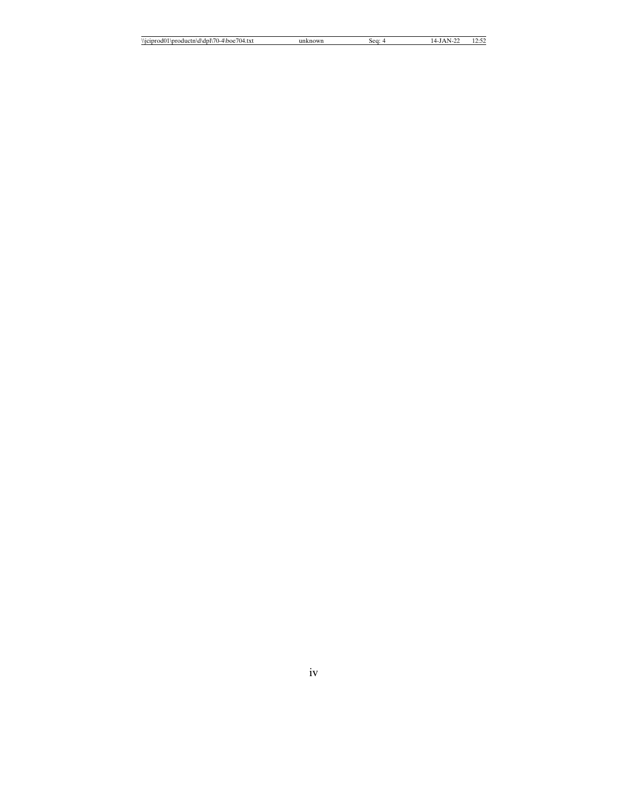| . .<br>$\cdot$ obc.<br>704.<br>70<br>$\sqrt{1}$ CID <sup>r</sup><br>$+ - +$<br>hoe<br>. ורי<br>.<br>,,,,,<br>$\cdots$<br><br>ת. נג<br> | 13.45<br>nown | $-$ e $\sigma$ | $\sim$<br>. | - -<br>.<br>---- |
|----------------------------------------------------------------------------------------------------------------------------------------|---------------|----------------|-------------|------------------|
|----------------------------------------------------------------------------------------------------------------------------------------|---------------|----------------|-------------|------------------|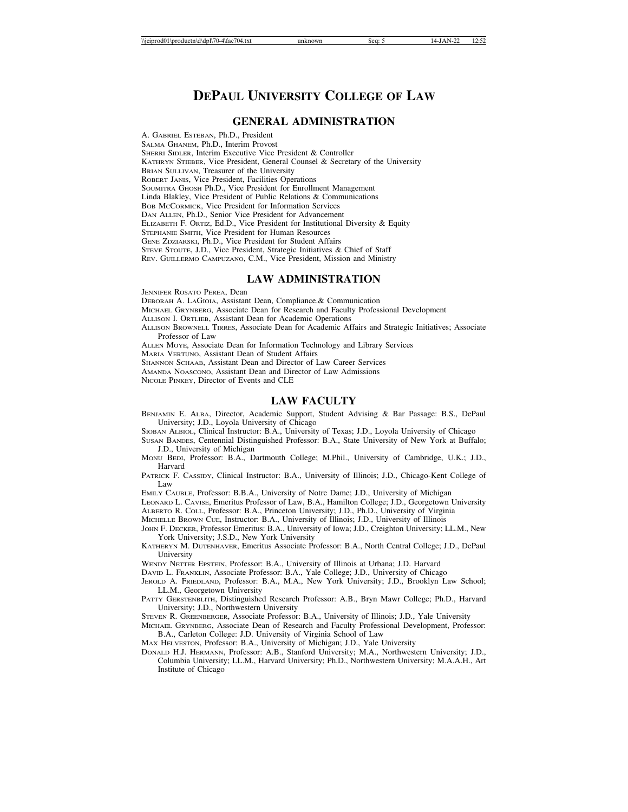\\jciprod01\productn\d\dpl\70-4\fac704.txt unknown Seq: 5 14-JAN-22 12:52

## **DEPAUL UNIVERSITY COLLEGE OF LAW**

#### **GENERAL ADMINISTRATION**

A. GABRIEL ESTEBAN, Ph.D., President SALMA GHANEM, Ph.D., Interim Provost SHERRI SIDLER, Interim Executive Vice President & Controller KATHRYN STIEBER, Vice President, General Counsel & Secretary of the University BRIAN SULLIVAN, Treasurer of the University ROBERT JANIS, Vice President, Facilities Operations SOUMITRA GHOSH Ph.D., Vice President for Enrollment Management Linda Blakley, Vice President of Public Relations & Communications BOB MCCORMICK, Vice President for Information Services DAN ALLEN, Ph.D., Senior Vice President for Advancement ELIZABETH F. ORTIZ, Ed.D., Vice President for Institutional Diversity & Equity STEPHANIE SMITH, Vice President for Human Resources GENE ZDZIARSKI, Ph.D., Vice President for Student Affairs STEVE STOUTE, J.D., Vice President, Strategic Initiatives & Chief of Staff REV. GUILLERMO CAMPUZANO, C.M., Vice President, Mission and Ministry

#### **LAW ADMINISTRATION**

JENNIFER ROSATO PEREA, Dean DEBORAH A. LAGIOIA, Assistant Dean, Compliance.& Communication MICHAEL GRYNBERG, Associate Dean for Research and Faculty Professional Development ALLISON I. ORTLIEB, Assistant Dean for Academic Operations ALLISON BROWNELL TIRRES, Associate Dean for Academic Affairs and Strategic Initiatives; Associate Professor of Law ALLEN MOYE, Associate Dean for Information Technology and Library Services MARIA VERTUNO, Assistant Dean of Student Affairs SHANNON SCHAAB, Assistant Dean and Director of Law Career Services

AMANDA NOASCONO, Assistant Dean and Director of Law Admissions

NICOLE PINKEY, Director of Events and CLE

### **LAW FACULTY**

BENJAMIN E. ALBA, Director, Academic Support, Student Advising & Bar Passage: B.S., DePaul University; J.D., Loyola University of Chicago

SIOBAN ALBIOL, Clinical Instructor: B.A., University of Texas; J.D., Loyola University of Chicago

SUSAN BANDES, Centennial Distinguished Professor: B.A., State University of New York at Buffalo; J.D., University of Michigan

MONU BEDI, Professor: B.A., Dartmouth College; M.Phil., University of Cambridge, U.K.; J.D., Harvard

PATRICK F. CASSIDY, Clinical Instructor: B.A., University of Illinois; J.D., Chicago-Kent College of Law

EMILY CAUBLE, Professor: B.B.A., University of Notre Dame; J.D., University of Michigan

LEONARD L. CAVISE, Emeritus Professor of Law, B.A., Hamilton College; J.D., Georgetown University ALBERTO R. COLL, Professor: B.A., Princeton University; J.D., Ph.D., University of Virginia

MICHELLE BROWN CUE, Instructor: B.A., University of Illinois; J.D., University of Illinois

JOHN F. DECKER, Professor Emeritus: B.A., University of Iowa; J.D., Creighton University; LL.M., New York University; J.S.D., New York University

KATHERYN M. DUTENHAVER, Emeritus Associate Professor: B.A., North Central College; J.D., DePaul University

WENDY NETTER EPSTEIN, Professor: B.A., University of Illinois at Urbana; J.D. Harvard

DAVID L. FRANKLIN, Associate Professor: B.A., Yale College; J.D., University of Chicago JEROLD A. FRIEDLAND, Professor: B.A., M.A., New York University; J.D., Brooklyn Law School; LL.M., Georgetown University

PATTY GERSTENBLITH, Distinguished Research Professor: A.B., Bryn Mawr College; Ph.D., Harvard University; J.D., Northwestern University

STEVEN R. GREENBERGER, Associate Professor: B.A., University of Illinois; J.D., Yale University

MICHAEL GRYNBERG, Associate Dean of Research and Faculty Professional Development, Professor: B.A., Carleton College: J.D. University of Virginia School of Law

MAX HELVESTON, Professor: B.A., University of Michigan; J.D., Yale University

DONALD H.J. HERMANN, Professor: A.B., Stanford University; M.A., Northwestern University; J.D., Columbia University; LL.M., Harvard University; Ph.D., Northwestern University; M.A.A.H., Art Institute of Chicago